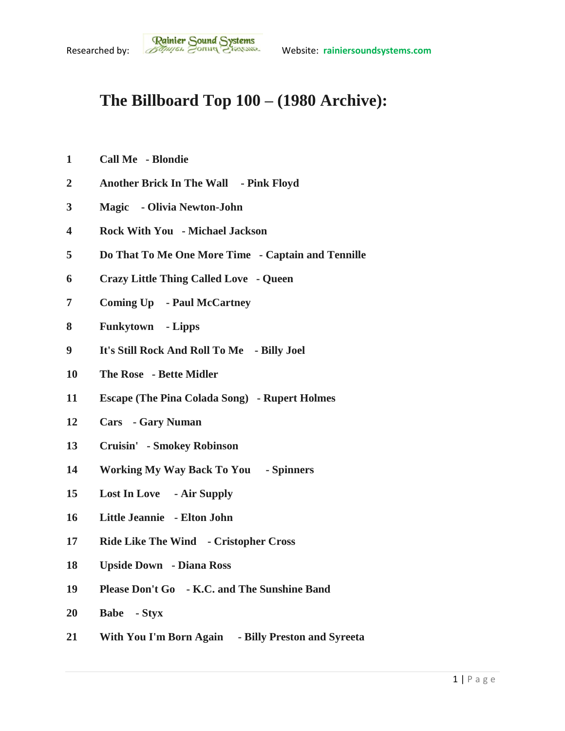## **The Billboard Top 100 – (1980 Archive):**

- **Call Me - Blondie**
- **Another Brick In The Wall - Pink Floyd**
- **Magic - Olivia Newton-John**
- **Rock With You - Michael Jackson**
- **Do That To Me One More Time - Captain and Tennille**
- **Crazy Little Thing Called Love - Queen**
- **Coming Up - Paul McCartney**
- **Funkytown - Lipps**
- **It's Still Rock And Roll To Me - Billy Joel**
- **The Rose - Bette Midler**
- **Escape (The Pina Colada Song) - Rupert Holmes**
- **Cars - Gary Numan**
- **Cruisin' - Smokey Robinson**
- **Working My Way Back To You - Spinners**
- **Lost In Love - Air Supply**
- **Little Jeannie - Elton John**
- **Ride Like The Wind - Cristopher Cross**
- **Upside Down - Diana Ross**
- **Please Don't Go - K.C. and The Sunshine Band**
- **Babe - Styx**
- **With You I'm Born Again - Billy Preston and Syreeta**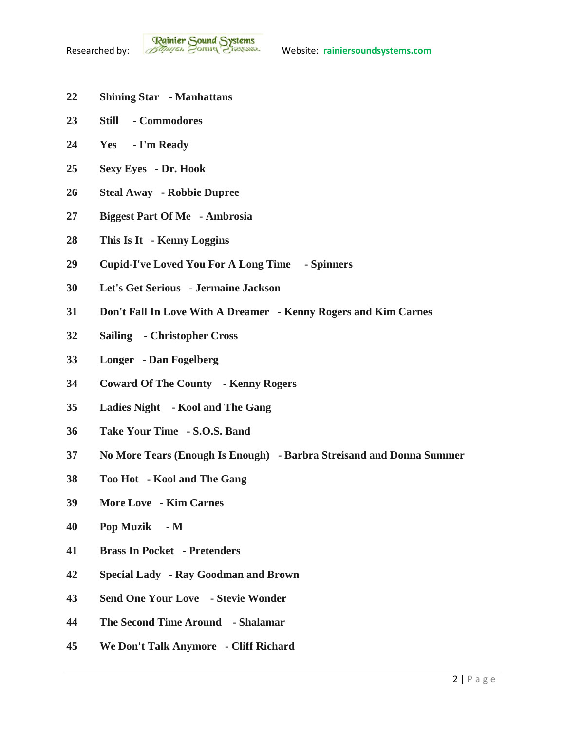- **Shining Star - Manhattans**
- **Still - Commodores**
- **Yes - I'm Ready**
- **Sexy Eyes - Dr. Hook**
- **Steal Away - Robbie Dupree**
- **Biggest Part Of Me - Ambrosia**
- **This Is It - Kenny Loggins**
- **Cupid-I've Loved You For A Long Time - Spinners**
- **Let's Get Serious - Jermaine Jackson**
- **Don't Fall In Love With A Dreamer - Kenny Rogers and Kim Carnes**
- **Sailing - Christopher Cross**
- **Longer - Dan Fogelberg**
- **Coward Of The County - Kenny Rogers**
- **Ladies Night - Kool and The Gang**
- **Take Your Time - S.O.S. Band**
- **No More Tears (Enough Is Enough) - Barbra Streisand and Donna Summer**
- **Too Hot - Kool and The Gang**
- **More Love - Kim Carnes**
- **Pop Muzik - M**
- **Brass In Pocket - Pretenders**
- **Special Lady - Ray Goodman and Brown**
- **Send One Your Love - Stevie Wonder**
- **The Second Time Around - Shalamar**
- **We Don't Talk Anymore - Cliff Richard**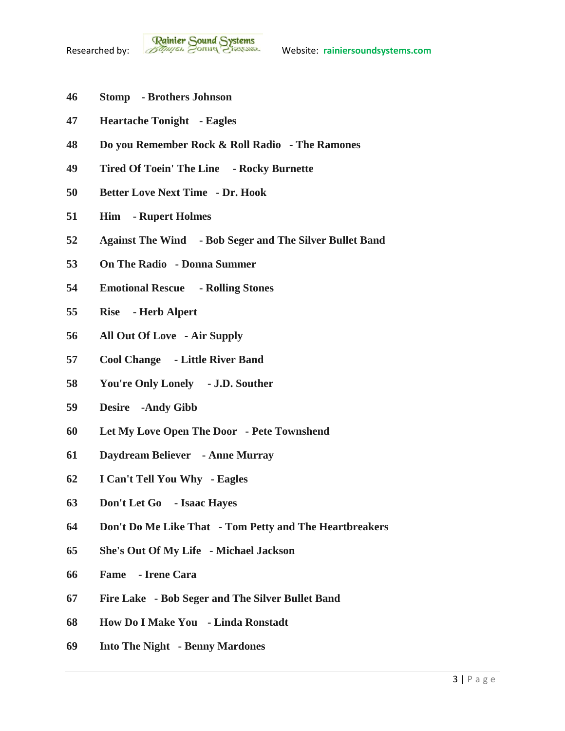- **Stomp - Brothers Johnson**
- **Heartache Tonight - Eagles**
- **Do you Remember Rock & Roll Radio - The Ramones**
- **Tired Of Toein' The Line - Rocky Burnette**
- **Better Love Next Time - Dr. Hook**
- **Him - Rupert Holmes**
- **Against The Wind - Bob Seger and The Silver Bullet Band**
- **On The Radio - Donna Summer**
- **Emotional Rescue - Rolling Stones**
- **Rise - Herb Alpert**
- **All Out Of Love - Air Supply**
- **Cool Change - Little River Band**
- **You're Only Lonely - J.D. Souther**
- **Desire -Andy Gibb**
- **Let My Love Open The Door - Pete Townshend**
- **Daydream Believer - Anne Murray**
- **I Can't Tell You Why - Eagles**
- **Don't Let Go - Isaac Hayes**
- **Don't Do Me Like That - Tom Petty and The Heartbreakers**
- **She's Out Of My Life - Michael Jackson**
- **Fame - Irene Cara**
- **Fire Lake - Bob Seger and The Silver Bullet Band**
- **How Do I Make You - Linda Ronstadt**
- **Into The Night - Benny Mardones**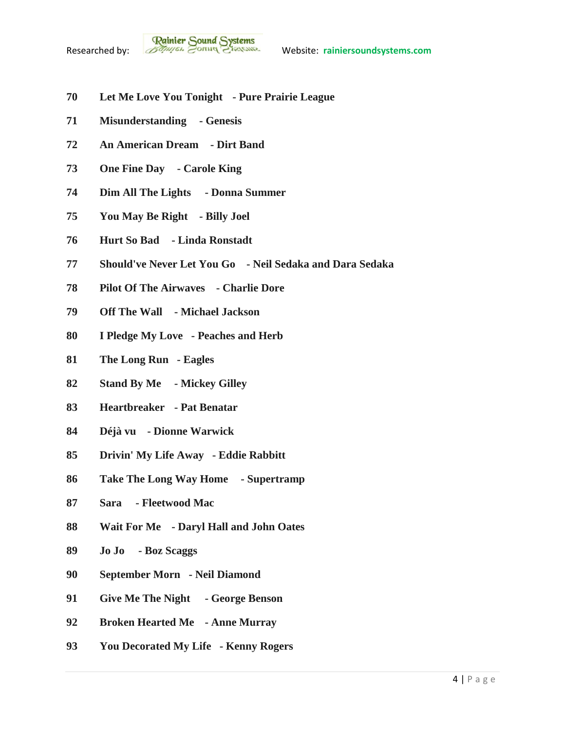- **Let Me Love You Tonight - Pure Prairie League**
- **Misunderstanding - Genesis**
- **An American Dream - Dirt Band**
- **One Fine Day - Carole King**
- **Dim All The Lights - Donna Summer**
- **You May Be Right - Billy Joel**
- **Hurt So Bad - Linda Ronstadt**
- **Should've Never Let You Go - Neil Sedaka and Dara Sedaka**
- **Pilot Of The Airwaves - Charlie Dore**
- **Off The Wall - Michael Jackson**
- **I Pledge My Love - Peaches and Herb**
- **The Long Run - Eagles**
- **Stand By Me - Mickey Gilley**
- **Heartbreaker - Pat Benatar**
- **Déjà vu - Dionne Warwick**
- **Drivin' My Life Away - Eddie Rabbitt**
- **Take The Long Way Home - Supertramp**
- **Sara - Fleetwood Mac**
- **Wait For Me - Daryl Hall and John Oates**
- **Jo Jo - Boz Scaggs**
- **September Morn - Neil Diamond**
- **Give Me The Night - George Benson**
- **Broken Hearted Me - Anne Murray**
- **You Decorated My Life - Kenny Rogers**